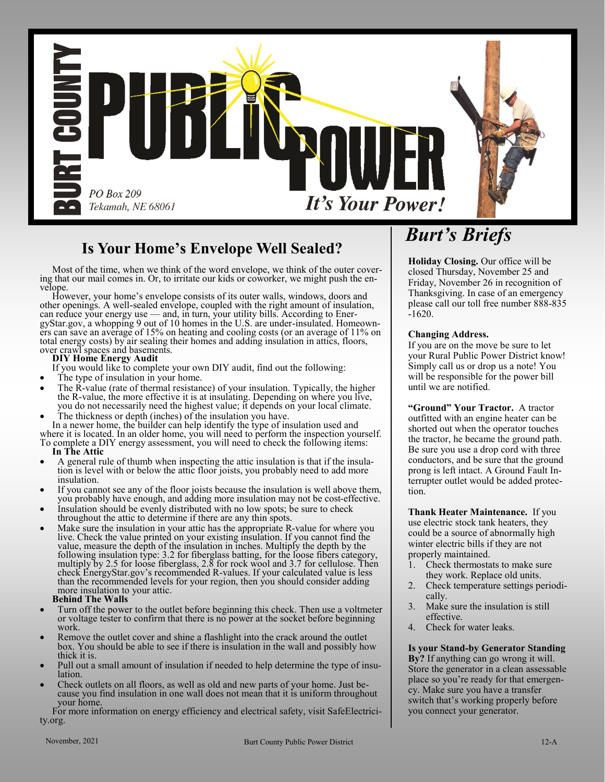

## **Is Your Home's Envelope Well Sealed?**

 Most of the time, when we think of the word envelope, we think of the outer covering that our mail comes in. Or, to irritate our kids or coworker, we might push the envelope.

 However, your home's envelope consists of its outer walls, windows, doors and other openings. A well-sealed envelope, coupled with the right amount of insulation, can reduce your energy use — and, in turn, your utility bills. According to EnergyStar.gov, a whopping 9 out of 10 homes in the U.S. are under-insulated. Homeowners can save an average of 15% on heating and cooling costs (or an average of 11% on total energy costs) by air sealing their homes and adding insulation in attics, floors, over crawl spaces and basements.

### **DIY Home Energy Audit**

If you would like to complete your own DIY audit, find out the following:

- The type of insulation in your home.
- The R-value (rate of thermal resistance) of your insulation. Typically, the higher the R-value, the more effective it is at insulating. Depending on where you live, you do not necessarily need the highest value; it depends on your local climate.
- The thickness or depth (inches) of the insulation you have.

 In a newer home, the builder can help identify the type of insulation used and where it is located. In an older home, you will need to perform the inspection yourself. To complete a DIY energy assessment, you will need to check the following items:

- **In The Attic**
- A general rule of thumb when inspecting the attic insulation is that if the insulation is level with or below the attic floor joists, you probably need to add more insulation.
- If you cannot see any of the floor joists because the insulation is well above them, you probably have enough, and adding more insulation may not be cost-effective.
- Insulation should be evenly distributed with no low spots; be sure to check throughout the attic to determine if there are any thin spots.
- Make sure the insulation in your attic has the appropriate R-value for where you live. Check the value printed on your existing insulation. If you cannot find the value, measure the depth of the insulation in inches. Multiply the depth by the following insulation type: 3.2 for fiberglass batting, for the loose fibers category, multiply by 2.5 for loose fiberglass, 2.8 for rock wool and 3.7 for cellulose. Then check EnergyStar.gov's recommended R-values. If your calculated value is less than the recommended levels for your region, then you should consider adding more insulation to your attic.

### **Behind The Walls**

- Turn off the power to the outlet before beginning this check. Then use a voltmeter or voltage tester to confirm that there is no power at the socket before beginning work.
- Remove the outlet cover and shine a flashlight into the crack around the outlet box. You should be able to see if there is insulation in the wall and possibly how thick it is.
- Pull out a small amount of insulation if needed to help determine the type of insulation.
- Check outlets on all floors, as well as old and new parts of your home. Just because you find insulation in one wall does not mean that it is uniform throughout your home.

 For more information on energy efficiency and electrical safety, visit SafeElectricity.org.

# *Burt's Briefs*

**Holiday Closing.** Our office will be closed Thursday, November 25 and Friday, November 26 in recognition of Thanksgiving. In case of an emergency please call our toll free number 888-835 -1620.

### **Changing Address.**

If you are on the move be sure to let your Rural Public Power District know! Simply call us or drop us a note! You will be responsible for the power bill until we are notified.

**"Ground" Your Tractor.** A tractor outfitted with an engine heater can be shorted out when the operator touches the tractor, he became the ground path. Be sure you use a drop cord with three conductors, and be sure that the ground prong is left intact. A Ground Fault Interrupter outlet would be added protection.

**Thank Heater Maintenance.** If you use electric stock tank heaters, they could be a source of abnormally high winter electric bills if they are not properly maintained.

- 1. Check thermostats to make sure they work. Replace old units.
- 2. Check temperature settings periodically.
- 3. Make sure the insulation is still effective.
- 4. Check for water leaks.

**Is your Stand-by Generator Standing By?** If anything can go wrong it will. Store the generator in a clean assessable place so you're ready for that emergency. Make sure you have a transfer switch that's working properly before you connect your generator.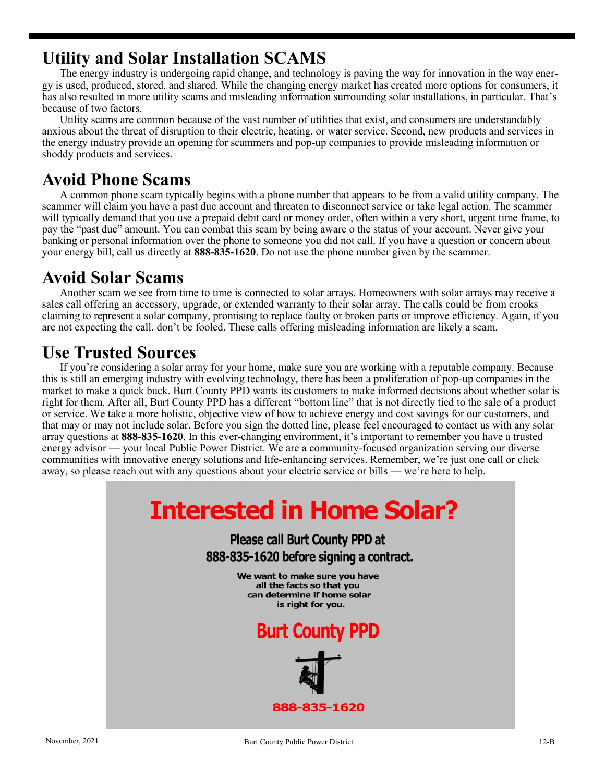## **Utility and Solar Installation SCAMS**

The energy industry is undergoing rapid change, and technology is paving the way for innovation in the way energy is used, produced, stored, and shared. While the changing energy market has created more options for consumers, it has also resulted in more utility scams and misleading information surrounding solar installations, in particular. That's because of two factors.

Utility scams are common because of the vast number of utilities that exist, and consumers are understandably anxious about the threat of disruption to their electric, heating, or water service. Second, new products and services in the energy industry provide an opening for scammers and pop-up companies to provide misleading information or shoddy products and services.

## **Avoid Phone Scams**

A common phone scam typically begins with a phone number that appears to be from a valid utility company. The scammer will claim you have a past due account and threaten to disconnect service or take legal action. The scammer will typically demand that you use a prepaid debit card or money order, often within a very short, urgent time frame, to pay the "past due" amount. You can combat this scam by being aware o the status of your account. Never give your banking or personal information over the phone to someone you did not call. If you have a question or concern about your energy bill, call us directly at **888-835-1620**. Do not use the phone number given by the scammer.

## **Avoid Solar Scams**

Another scam we see from time to time is connected to solar arrays. Homeowners with solar arrays may receive a sales call offering an accessory, upgrade, or extended warranty to their solar array. The calls could be from crooks claiming to represent a solar company, promising to replace faulty or broken parts or improve efficiency. Again, if you are not expecting the call, don't be fooled. These calls offering misleading information are likely a scam.

## **Use Trusted Sources**

If you're considering a solar array for your home, make sure you are working with a reputable company. Because this is still an emerging industry with evolving technology, there has been a proliferation of pop-up companies in the market to make a quick buck. Burt County PPD wants its customers to make informed decisions about whether solar is right for them. After all, Burt County PPD has a different "bottom line" that is not directly tied to the sale of a product or service. We take a more holistic, objective view of how to achieve energy and cost savings for our customers, and that may or may not include solar. Before you sign the dotted line, please feel encouraged to contact us with any solar array questions at **888-835-1620**. In this ever-changing environment, it's important to remember you have a trusted energy advisor — your local Public Power District. We are a community-focused organization serving our diverse communities with innovative energy solutions and life-enhancing services. Remember, we're just one call or click away, so please reach out with any questions about your electric service or bills — we're here to help.

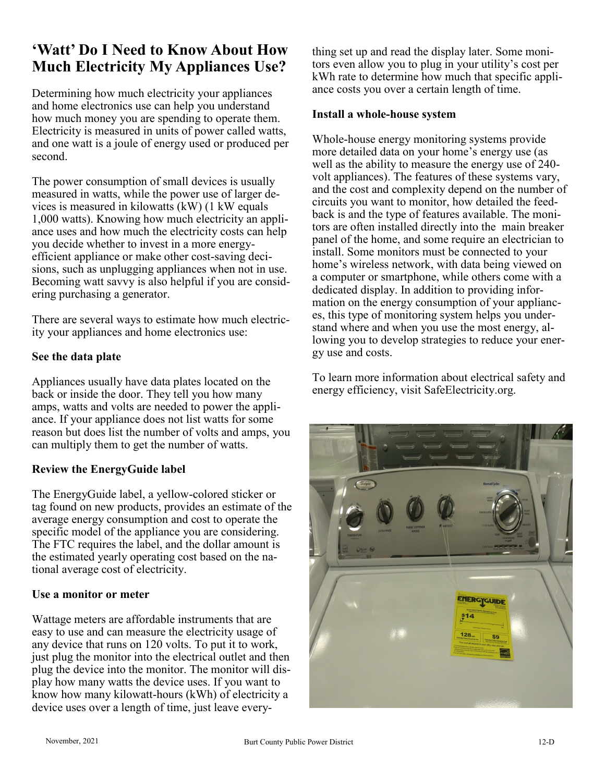## **'Watt' Do I Need to Know About How Much Electricity My Appliances Use?**

Determining how much electricity your appliances and home electronics use can help you understand how much money you are spending to operate them. Electricity is measured in units of power called watts, and one watt is a joule of energy used or produced per second.

The power consumption of small devices is usually measured in watts, while the power use of larger devices is measured in kilowatts (kW) (1 kW equals 1,000 watts). Knowing how much electricity an appliance uses and how much the electricity costs can help you decide whether to invest in a more energyefficient appliance or make other cost-saving decisions, such as unplugging appliances when not in use. Becoming watt savvy is also helpful if you are considering purchasing a generator.

There are several ways to estimate how much electricity your appliances and home electronics use:

### **See the data plate**

Appliances usually have data plates located on the back or inside the door. They tell you how many amps, watts and volts are needed to power the appliance. If your appliance does not list watts for some reason but does list the number of volts and amps, you can multiply them to get the number of watts.

### **Review the EnergyGuide label**

The EnergyGuide label, a yellow-colored sticker or tag found on new products, provides an estimate of the average energy consumption and cost to operate the specific model of the appliance you are considering. The FTC requires the label, and the dollar amount is the estimated yearly operating cost based on the national average cost of electricity.

### **Use a monitor or meter**

Wattage meters are affordable instruments that are easy to use and can measure the electricity usage of any device that runs on 120 volts. To put it to work, just plug the monitor into the electrical outlet and then plug the device into the monitor. The monitor will display how many watts the device uses. If you want to know how many kilowatt-hours (kWh) of electricity a device uses over a length of time, just leave everything set up and read the display later. Some monitors even allow you to plug in your utility's cost per kWh rate to determine how much that specific appliance costs you over a certain length of time.

### **Install a whole-house system**

Whole-house energy monitoring systems provide more detailed data on your home's energy use (as well as the ability to measure the energy use of 240 volt appliances). The features of these systems vary, and the cost and complexity depend on the number of circuits you want to monitor, how detailed the feedback is and the type of features available. The monitors are often installed directly into the main breaker panel of the home, and some require an electrician to install. Some monitors must be connected to your home's wireless network, with data being viewed on a computer or smartphone, while others come with a dedicated display. In addition to providing information on the energy consumption of your appliances, this type of monitoring system helps you understand where and when you use the most energy, allowing you to develop strategies to reduce your energy use and costs.

To learn more information about electrical safety and energy efficiency, visit SafeElectricity.org.